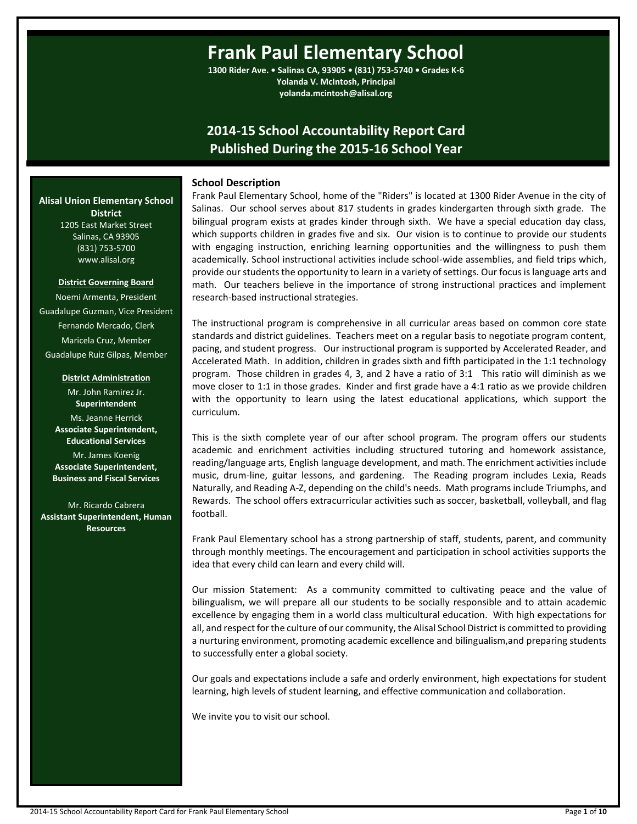# **Frank Paul Elementary School**

**1300 Rider Ave. • Salinas CA, 93905 • (831) 753-5740 • Grades K-6 Yolanda V. McIntosh, Principal yolanda.mcintosh@alisal.org**

## **2014-15 School Accountability Report Card Published During the 2015-16 School Year**

#### **School Description**

Frank Paul Elementary School, home of the "Riders" is located at 1300 Rider Avenue in the city of Salinas. Our school serves about 817 students in grades kindergarten through sixth grade. The bilingual program exists at grades kinder through sixth. We have a special education day class, which supports children in grades five and six. Our vision is to continue to provide our students with engaging instruction, enriching learning opportunities and the willingness to push them academically. School instructional activities include school-wide assemblies, and field trips which, provide our students the opportunity to learn in a variety of settings. Our focus is language arts and math. Our teachers believe in the importance of strong instructional practices and implement research-based instructional strategies.

The instructional program is comprehensive in all curricular areas based on common core state standards and district guidelines. Teachers meet on a regular basis to negotiate program content, pacing, and student progress. Our instructional program is supported by Accelerated Reader, and Accelerated Math. In addition, children in grades sixth and fifth participated in the 1:1 technology program. Those children in grades 4, 3, and 2 have a ratio of 3:1 This ratio will diminish as we move closer to 1:1 in those grades. Kinder and first grade have a 4:1 ratio as we provide children with the opportunity to learn using the latest educational applications, which support the curriculum.

This is the sixth complete year of our after school program. The program offers our students academic and enrichment activities including structured tutoring and homework assistance, reading/language arts, English language development, and math. The enrichment activities include music, drum-line, guitar lessons, and gardening. The Reading program includes Lexia, Reads Naturally, and Reading A-Z, depending on the child's needs. Math programs include Triumphs, and Rewards. The school offers extracurricular activities such as soccer, basketball, volleyball, and flag football.

Frank Paul Elementary school has a strong partnership of staff, students, parent, and community through monthly meetings. The encouragement and participation in school activities supports the idea that every child can learn and every child will.

Our mission Statement: As a community committed to cultivating peace and the value of bilingualism, we will prepare all our students to be socially responsible and to attain academic excellence by engaging them in a world class multicultural education. With high expectations for all, and respect for the culture of our community, the Alisal School District is committed to providing a nurturing environment, promoting academic excellence and bilingualism,and preparing students to successfully enter a global society.

Our goals and expectations include a safe and orderly environment, high expectations for student learning, high levels of student learning, and effective communication and collaboration.

We invite you to visit our school.

**Alisal Union Elementary School District** 1205 East Market Street Salinas, CA 93905 (831) 753-5700

**District Governing Board**

www.alisal.org

Noemi Armenta, President Guadalupe Guzman, Vice President Fernando Mercado, Clerk Maricela Cruz, Member Guadalupe Ruiz Gilpas, Member

**District Administration**

Mr. John Ramirez Jr. **Superintendent** Ms. Jeanne Herrick **Associate Superintendent, Educational Services** Mr. James Koenig **Associate Superintendent, Business and Fiscal Services**

Mr. Ricardo Cabrera **Assistant Superintendent, Human Resources**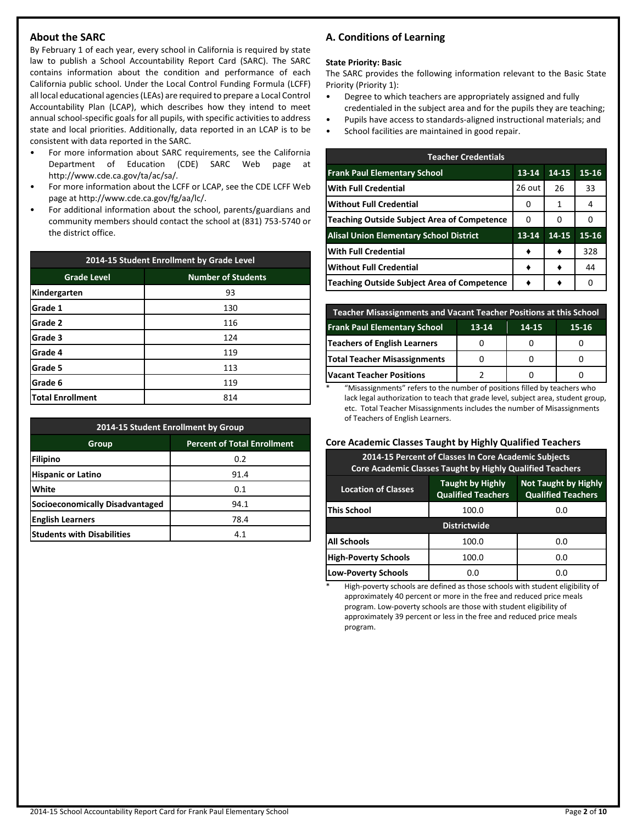## **About the SARC**

By February 1 of each year, every school in California is required by state law to publish a School Accountability Report Card (SARC). The SARC contains information about the condition and performance of each California public school. Under the Local Control Funding Formula (LCFF) all local educational agencies (LEAs) are required to prepare a Local Control Accountability Plan (LCAP), which describes how they intend to meet annual school-specific goals for all pupils, with specific activities to address state and local priorities. Additionally, data reported in an LCAP is to be consistent with data reported in the SARC.

- For more information about SARC requirements, see the California Department of Education (CDE) SARC Web page at http://www.cde.ca.gov/ta/ac/sa/.
- For more information about the LCFF or LCAP, see the CDE LCFF Web page at http://www.cde.ca.gov/fg/aa/lc/.
- For additional information about the school, parents/guardians and community members should contact the school at (831) 753-5740 or the district office.

| 2014-15 Student Enrollment by Grade Level       |     |  |  |  |
|-------------------------------------------------|-----|--|--|--|
| <b>Number of Students</b><br><b>Grade Level</b> |     |  |  |  |
| Kindergarten                                    | 93  |  |  |  |
| Grade 1                                         | 130 |  |  |  |
| Grade 2                                         | 116 |  |  |  |
| Grade 3                                         | 124 |  |  |  |
| Grade 4                                         | 119 |  |  |  |
| Grade 5                                         | 113 |  |  |  |
| Grade 6                                         | 119 |  |  |  |
| <b>Total Enrollment</b>                         | 814 |  |  |  |

| 2014-15 Student Enrollment by Group         |      |  |  |  |
|---------------------------------------------|------|--|--|--|
| <b>Percent of Total Enrollment</b><br>Group |      |  |  |  |
| Filipino                                    | 0.2  |  |  |  |
| <b>Hispanic or Latino</b>                   | 91.4 |  |  |  |
| White                                       | 0.1  |  |  |  |
| Socioeconomically Disadvantaged             | 94.1 |  |  |  |
| <b>English Learners</b>                     | 78.4 |  |  |  |
| <b>Students with Disabilities</b>           | 4.1  |  |  |  |

## **A. Conditions of Learning**

#### **State Priority: Basic**

The SARC provides the following information relevant to the Basic State Priority (Priority 1):

- Degree to which teachers are appropriately assigned and fully credentialed in the subject area and for the pupils they are teaching;
- Pupils have access to standards-aligned instructional materials; and
- School facilities are maintained in good repair.

| <b>Teacher Credentials</b>                         |           |       |       |  |  |  |
|----------------------------------------------------|-----------|-------|-------|--|--|--|
| <b>Frank Paul Elementary School</b>                | $13 - 14$ | 14-15 | 15-16 |  |  |  |
| <b>With Full Credential</b>                        | 26 out    | 26    | 33    |  |  |  |
| Without Full Credential                            | 0         | 1     | 4     |  |  |  |
| Teaching Outside Subject Area of Competence        | 0         | 0     | Ω     |  |  |  |
| <b>Alisal Union Elementary School District</b>     | 13-14     | 14-15 | 15-16 |  |  |  |
| <b>With Full Credential</b>                        |           |       | 328   |  |  |  |
| <b>Without Full Credential</b>                     |           |       | 44    |  |  |  |
| <b>Teaching Outside Subject Area of Competence</b> |           |       | 0     |  |  |  |

| Teacher Misassignments and Vacant Teacher Positions at this School |  |  |  |  |  |  |  |
|--------------------------------------------------------------------|--|--|--|--|--|--|--|
| <b>Frank Paul Elementary School</b><br>$13 - 14$<br>15-16<br>14-15 |  |  |  |  |  |  |  |
| Teachers of English Learners                                       |  |  |  |  |  |  |  |
| <b>Total Teacher Misassignments</b>                                |  |  |  |  |  |  |  |
| <b>Vacant Teacher Positions</b>                                    |  |  |  |  |  |  |  |

\* "Misassignments" refers to the number of positions filled by teachers who lack legal authorization to teach that grade level, subject area, student group, etc. Total Teacher Misassignments includes the number of Misassignments of Teachers of English Learners.

## **Core Academic Classes Taught by Highly Qualified Teachers**

| 2014-15 Percent of Classes In Core Academic Subjects<br><b>Core Academic Classes Taught by Highly Qualified Teachers</b>                       |       |     |  |  |  |
|------------------------------------------------------------------------------------------------------------------------------------------------|-------|-----|--|--|--|
| <b>Not Taught by Highly</b><br><b>Taught by Highly</b><br><b>Location of Classes</b><br><b>Qualified Teachers</b><br><b>Qualified Teachers</b> |       |     |  |  |  |
| <b>This School</b><br>100.0<br>0.0                                                                                                             |       |     |  |  |  |
| <b>Districtwide</b>                                                                                                                            |       |     |  |  |  |
| <b>All Schools</b>                                                                                                                             | 100.0 | 0.0 |  |  |  |
| <b>High-Poverty Schools</b><br>100.0<br>0.O                                                                                                    |       |     |  |  |  |
| <b>Low-Poverty Schools</b><br>0.0<br>0.0                                                                                                       |       |     |  |  |  |

High-poverty schools are defined as those schools with student eligibility of approximately 40 percent or more in the free and reduced price meals program. Low-poverty schools are those with student eligibility of approximately 39 percent or less in the free and reduced price meals program.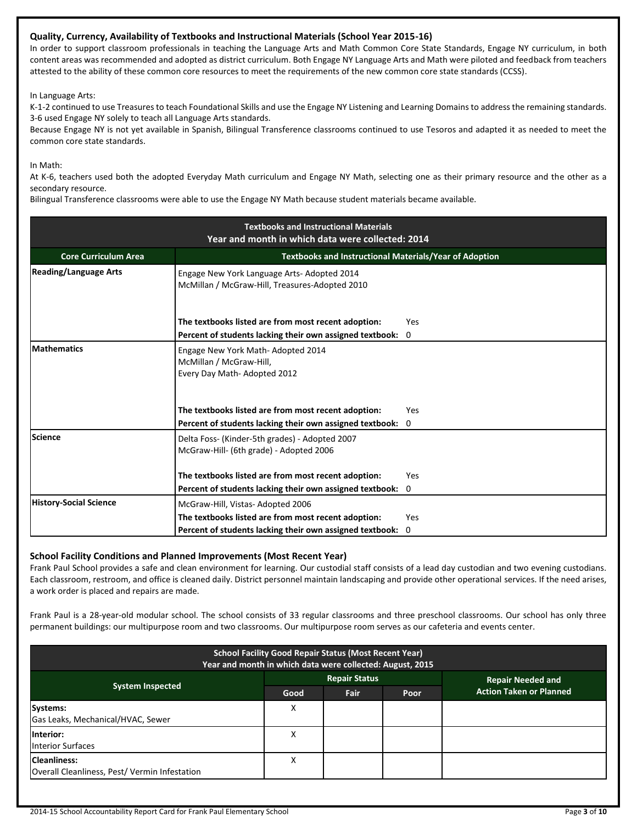## **Quality, Currency, Availability of Textbooks and Instructional Materials (School Year 2015-16)**

In order to support classroom professionals in teaching the Language Arts and Math Common Core State Standards, Engage NY curriculum, in both content areas was recommended and adopted as district curriculum. Both Engage NY Language Arts and Math were piloted and feedback from teachers attested to the ability of these common core resources to meet the requirements of the new common core state standards (CCSS).

In Language Arts:

K-1-2 continued to use Treasures to teach Foundational Skills and use the Engage NY Listening and Learning Domains to address the remaining standards. 3-6 used Engage NY solely to teach all Language Arts standards.

Because Engage NY is not yet available in Spanish, Bilingual Transference classrooms continued to use Tesoros and adapted it as needed to meet the common core state standards.

In Math:

At K-6, teachers used both the adopted Everyday Math curriculum and Engage NY Math, selecting one as their primary resource and the other as a secondary resource.

Bilingual Transference classrooms were able to use the Engage NY Math because student materials became available.

| <b>Textbooks and Instructional Materials</b><br>Year and month in which data were collected: 2014                            |                                                                                                                 |                     |  |  |  |
|------------------------------------------------------------------------------------------------------------------------------|-----------------------------------------------------------------------------------------------------------------|---------------------|--|--|--|
| <b>Core Curriculum Area</b>                                                                                                  | Textbooks and Instructional Materials/Year of Adoption                                                          |                     |  |  |  |
| <b>Reading/Language Arts</b><br>Engage New York Language Arts-Adopted 2014<br>McMillan / McGraw-Hill, Treasures-Adopted 2010 |                                                                                                                 |                     |  |  |  |
|                                                                                                                              | The textbooks listed are from most recent adoption:<br>Percent of students lacking their own assigned textbook: | Yes<br>$\mathbf{0}$ |  |  |  |
| <b>Mathematics</b>                                                                                                           | Engage New York Math-Adopted 2014<br>McMillan / McGraw-Hill,<br>Every Day Math-Adopted 2012                     |                     |  |  |  |
|                                                                                                                              | The textbooks listed are from most recent adoption:                                                             | Yes                 |  |  |  |
|                                                                                                                              | Percent of students lacking their own assigned textbook: 0                                                      |                     |  |  |  |
| Science                                                                                                                      | Delta Foss- (Kinder-5th grades) - Adopted 2007<br>McGraw-Hill- (6th grade) - Adopted 2006                       |                     |  |  |  |
|                                                                                                                              | The textbooks listed are from most recent adoption:                                                             | Yes                 |  |  |  |
|                                                                                                                              | Percent of students lacking their own assigned textbook:                                                        | 0                   |  |  |  |
| <b>History-Social Science</b>                                                                                                | McGraw-Hill, Vistas-Adopted 2006                                                                                |                     |  |  |  |
|                                                                                                                              | The textbooks listed are from most recent adoption:                                                             | Yes                 |  |  |  |
|                                                                                                                              | Percent of students lacking their own assigned textbook: 0                                                      |                     |  |  |  |

## **School Facility Conditions and Planned Improvements (Most Recent Year)**

Frank Paul School provides a safe and clean environment for learning. Our custodial staff consists of a lead day custodian and two evening custodians. Each classroom, restroom, and office is cleaned daily. District personnel maintain landscaping and provide other operational services. If the need arises, a work order is placed and repairs are made.

Frank Paul is a 28-year-old modular school. The school consists of 33 regular classrooms and three preschool classrooms. Our school has only three permanent buildings: our multipurpose room and two classrooms. Our multipurpose room serves as our cafeteria and events center.

| <b>School Facility Good Repair Status (Most Recent Year)</b><br>Year and month in which data were collected: August, 2015 |      |                      |      |                                |  |
|---------------------------------------------------------------------------------------------------------------------------|------|----------------------|------|--------------------------------|--|
|                                                                                                                           |      | <b>Repair Status</b> |      | <b>Repair Needed and</b>       |  |
| <b>System Inspected</b>                                                                                                   | Good | <b>Fair</b>          | Poor | <b>Action Taken or Planned</b> |  |
| Systems:<br>Gas Leaks, Mechanical/HVAC, Sewer                                                                             | х    |                      |      |                                |  |
| Interior:<br><b>Interior Surfaces</b>                                                                                     | х    |                      |      |                                |  |
| <b>Cleanliness:</b><br>Overall Cleanliness, Pest/Vermin Infestation                                                       | х    |                      |      |                                |  |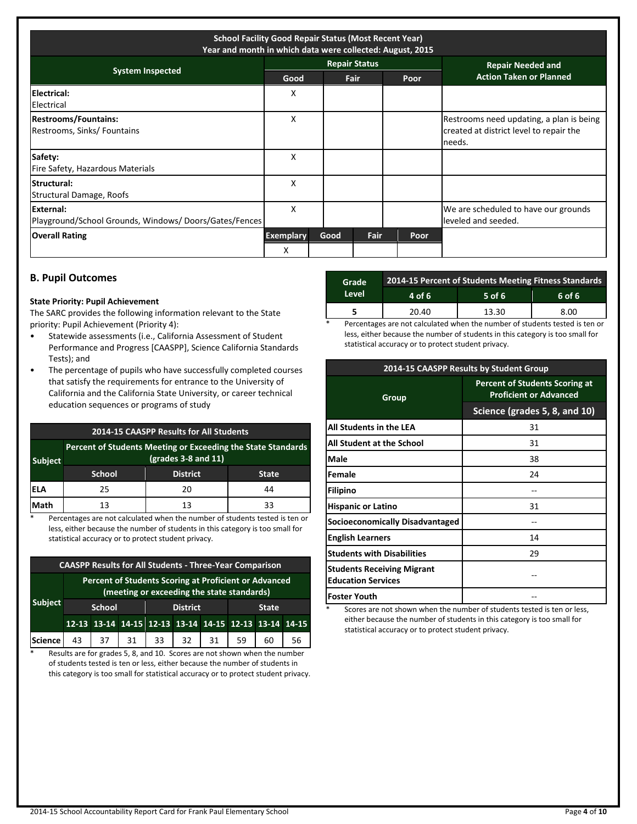| <b>School Facility Good Repair Status (Most Recent Year)</b><br>Year and month in which data were collected: August, 2015 |                       |      |                      |      |                                                                                               |
|---------------------------------------------------------------------------------------------------------------------------|-----------------------|------|----------------------|------|-----------------------------------------------------------------------------------------------|
| <b>System Inspected</b>                                                                                                   |                       |      | <b>Repair Status</b> |      | <b>Repair Needed and</b>                                                                      |
|                                                                                                                           | Good                  |      | Fair                 | Poor | <b>Action Taken or Planned</b>                                                                |
| Electrical:<br>Electrical                                                                                                 | X                     |      |                      |      |                                                                                               |
| <b>Restrooms/Fountains:</b><br>Restrooms, Sinks/ Fountains                                                                | X                     |      |                      |      | Restrooms need updating, a plan is being<br>created at district level to repair the<br>needs. |
| Safety:<br>Fire Safety, Hazardous Materials                                                                               | X                     |      |                      |      |                                                                                               |
| <b>Structural:</b><br>Structural Damage, Roofs                                                                            | x                     |      |                      |      |                                                                                               |
| External:<br>Playground/School Grounds, Windows/Doors/Gates/Fences                                                        | X                     |      |                      |      | We are scheduled to have our grounds<br>leveled and seeded.                                   |
| <b>Overall Rating</b>                                                                                                     | <b>Exemplary</b><br>X | Good | <b>Fair</b>          | Poor |                                                                                               |

## **B. Pupil Outcomes**

#### **State Priority: Pupil Achievement**

The SARC provides the following information relevant to the State priority: Pupil Achievement (Priority 4):

- Statewide assessments (i.e., California Assessment of Student Performance and Progress [CAASPP], Science California Standards Tests); and
- The percentage of pupils who have successfully completed courses that satisfy the requirements for entrance to the University of California and the California State University, or career technical education sequences or programs of study

## **2014-15 CAASPP Results for All Students**

| <b>Subject</b> | Percent of Students Meeting or Exceeding the State Standards<br>$(grades 3-8 and 11)$ |                 |              |  |  |  |
|----------------|---------------------------------------------------------------------------------------|-----------------|--------------|--|--|--|
|                | <b>School</b>                                                                         | <b>District</b> | <b>State</b> |  |  |  |
| <b>IELA</b>    | 25                                                                                    | 20              | 44           |  |  |  |
| <b>Math</b>    | 13                                                                                    | 13              | 33           |  |  |  |

\* Percentages are not calculated when the number of students tested is ten or less, either because the number of students in this category is too small for statistical accuracy or to protect student privacy.

| <b>CAASPP Results for All Students - Three-Year Comparison</b>                                      |               |    |    |                 |                                                       |    |              |    |    |
|-----------------------------------------------------------------------------------------------------|---------------|----|----|-----------------|-------------------------------------------------------|----|--------------|----|----|
| Percent of Students Scoring at Proficient or Advanced<br>(meeting or exceeding the state standards) |               |    |    |                 |                                                       |    |              |    |    |
| <b>Subject</b>                                                                                      | <b>School</b> |    |    | <b>District</b> |                                                       |    | <b>State</b> |    |    |
|                                                                                                     |               |    |    |                 | 12-13 13-14 14-15 12-13 13-14 14-15 12-13 13-14 14-15 |    |              |    |    |
| Science                                                                                             | 43            | 37 | 31 | 33              | 32                                                    | 31 | 59           | 60 | 56 |

\* Results are for grades 5, 8, and 10. Scores are not shown when the number of students tested is ten or less, either because the number of students in this category is too small for statistical accuracy or to protect student privacy.

| Grade | 2014-15 Percent of Students Meeting Fitness Standards |          |        |  |  |  |
|-------|-------------------------------------------------------|----------|--------|--|--|--|
| Level | 4 of 6                                                | $5$ of 6 | 6 of 6 |  |  |  |
|       | 20.40                                                 | 13.30    | 8.00   |  |  |  |

Percentages are not calculated when the number of students tested is ten or less, either because the number of students in this category is too small for statistical accuracy or to protect student privacy.

| 2014-15 CAASPP Results by Student Group                        |                                                                        |  |  |  |
|----------------------------------------------------------------|------------------------------------------------------------------------|--|--|--|
| Group                                                          | <b>Percent of Students Scoring at</b><br><b>Proficient or Advanced</b> |  |  |  |
|                                                                | Science (grades 5, 8, and 10)                                          |  |  |  |
| All Students in the LEA                                        | 31                                                                     |  |  |  |
| All Student at the School                                      | 31                                                                     |  |  |  |
| <b>Male</b>                                                    | 38                                                                     |  |  |  |
| <b>Female</b>                                                  | 24                                                                     |  |  |  |
| <b>Filipino</b>                                                |                                                                        |  |  |  |
| <b>Hispanic or Latino</b>                                      | 31                                                                     |  |  |  |
| Socioeconomically Disadvantaged                                |                                                                        |  |  |  |
| <b>English Learners</b>                                        | 14                                                                     |  |  |  |
| <b>Students with Disabilities</b>                              | 29                                                                     |  |  |  |
| <b>Students Receiving Migrant</b><br><b>Education Services</b> |                                                                        |  |  |  |
| lFoster Youth                                                  |                                                                        |  |  |  |

Scores are not shown when the number of students tested is ten or less, either because the number of students in this category is too small for statistical accuracy or to protect student privacy.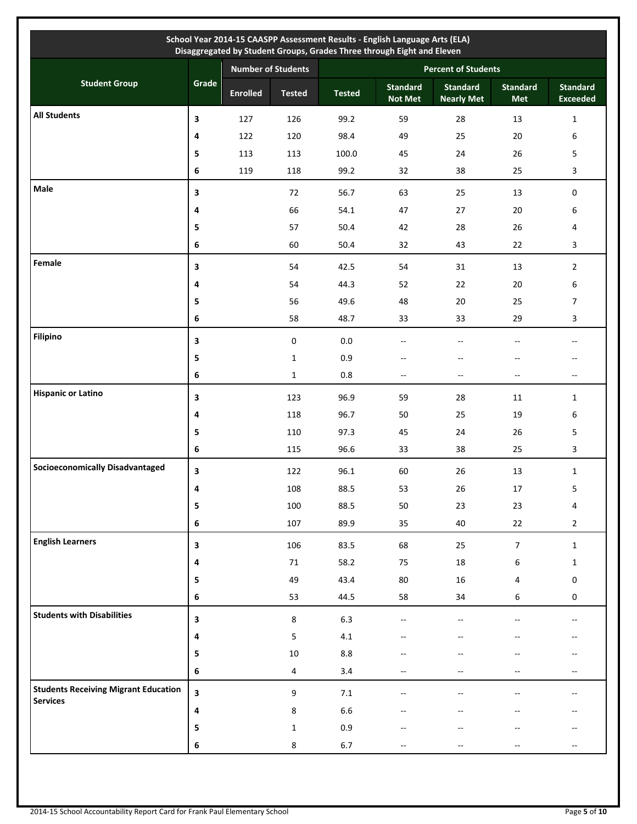|                                             |              |                           |                  |                            | School Year 2014-15 CAASPP Assessment Results - English Language Arts (ELA)<br>Disaggregated by Student Groups, Grades Three through Eight and Eleven |                                      |                          |                                    |  |
|---------------------------------------------|--------------|---------------------------|------------------|----------------------------|-------------------------------------------------------------------------------------------------------------------------------------------------------|--------------------------------------|--------------------------|------------------------------------|--|
|                                             |              | <b>Number of Students</b> |                  | <b>Percent of Students</b> |                                                                                                                                                       |                                      |                          |                                    |  |
| <b>Student Group</b>                        | Grade        | <b>Enrolled</b>           | <b>Tested</b>    | <b>Tested</b>              | <b>Standard</b><br><b>Not Met</b>                                                                                                                     | <b>Standard</b><br><b>Nearly Met</b> | <b>Standard</b><br>Met   | <b>Standard</b><br><b>Exceeded</b> |  |
| <b>All Students</b>                         | 3            | 127                       | 126              | 99.2                       | 59                                                                                                                                                    | 28                                   | 13                       | $\mathbf{1}$                       |  |
|                                             | 4            | 122                       | 120              | 98.4                       | 49                                                                                                                                                    | 25                                   | 20                       | 6                                  |  |
|                                             | 5            | 113                       | 113              | 100.0                      | 45                                                                                                                                                    | 24                                   | 26                       | 5                                  |  |
|                                             | 6            | 119                       | 118              | 99.2                       | 32                                                                                                                                                    | 38                                   | 25                       | 3                                  |  |
| Male                                        | 3            |                           | 72               | 56.7                       | 63                                                                                                                                                    | 25                                   | 13                       | 0                                  |  |
|                                             | 4            |                           | 66               | 54.1                       | 47                                                                                                                                                    | 27                                   | $20\,$                   | 6                                  |  |
|                                             | 5            |                           | 57               | 50.4                       | 42                                                                                                                                                    | 28                                   | 26                       | 4                                  |  |
|                                             | 6            |                           | 60               | 50.4                       | 32                                                                                                                                                    | 43                                   | 22                       | 3                                  |  |
| Female                                      | 3            |                           | 54               | 42.5                       | 54                                                                                                                                                    | 31                                   | 13                       | $\overline{2}$                     |  |
|                                             | 4            |                           | 54               | 44.3                       | 52                                                                                                                                                    | 22                                   | $20\,$                   | 6                                  |  |
|                                             | 5            |                           | 56               | 49.6                       | 48                                                                                                                                                    | 20                                   | 25                       | 7                                  |  |
|                                             | 6            |                           | 58               | 48.7                       | 33                                                                                                                                                    | 33                                   | 29                       | 3                                  |  |
| <b>Filipino</b>                             | 3            |                           | $\pmb{0}$        | $0.0\,$                    | --                                                                                                                                                    | $-$                                  |                          | --                                 |  |
|                                             | 5            |                           | $\mathbf{1}$     | 0.9                        | $-\, -$                                                                                                                                               | $-\!$                                |                          | --                                 |  |
|                                             | 6            |                           | $\mathbf{1}$     | $0.8\,$                    | $\sim$                                                                                                                                                | $\overline{\phantom{a}}$             | $\overline{\phantom{a}}$ | --                                 |  |
| <b>Hispanic or Latino</b>                   | 3            |                           | 123              | 96.9                       | 59                                                                                                                                                    | 28                                   | 11                       | $\mathbf{1}$                       |  |
|                                             | 4            |                           | 118              | 96.7                       | 50                                                                                                                                                    | 25                                   | 19                       | 6                                  |  |
|                                             | 5            |                           | 110              | 97.3                       | 45                                                                                                                                                    | 24                                   | 26                       | 5                                  |  |
|                                             | 6            |                           | 115              | 96.6                       | 33                                                                                                                                                    | 38                                   | 25                       | 3                                  |  |
| <b>Socioeconomically Disadvantaged</b>      | 3            |                           | 122              | 96.1                       | 60                                                                                                                                                    | 26                                   | 13                       | $\mathbf{1}$                       |  |
|                                             | $\mathbf{A}$ |                           | 108              | 88.5                       | 53                                                                                                                                                    | $26\,$                               | 17                       | 5                                  |  |
|                                             | 5            |                           | 100              | 88.5                       | 50                                                                                                                                                    | 23                                   | 23                       | 4                                  |  |
|                                             | 6            |                           | 107              | 89.9                       | 35                                                                                                                                                    | 40                                   | 22                       | $\overline{2}$                     |  |
| <b>English Learners</b>                     | 3            |                           | 106              | 83.5                       | 68                                                                                                                                                    | 25                                   | $\overline{7}$           | $\mathbf{1}$                       |  |
|                                             | 4            |                           | $71\,$           | 58.2                       | 75                                                                                                                                                    | $18\,$                               | 6                        | $\mathbf{1}$                       |  |
|                                             | 5            |                           | 49               | 43.4                       | $80\,$                                                                                                                                                | $16\,$                               | 4                        | 0                                  |  |
|                                             | 6            |                           | 53               | 44.5                       | 58                                                                                                                                                    | 34                                   | 6                        | 0                                  |  |
| <b>Students with Disabilities</b>           | 3            |                           | 8                | $6.3\,$                    | $-$                                                                                                                                                   | $\overline{a}$                       |                          | --                                 |  |
|                                             | 4            |                           | 5                | 4.1                        |                                                                                                                                                       |                                      |                          | --                                 |  |
|                                             | 5            |                           | $10\,$           | $8.8\,$                    |                                                                                                                                                       |                                      |                          | --                                 |  |
|                                             | 6            |                           | $\overline{4}$   | 3.4                        | $-$                                                                                                                                                   |                                      |                          | --                                 |  |
| <b>Students Receiving Migrant Education</b> | 3            |                           | $\boldsymbol{9}$ | $7.1\,$                    |                                                                                                                                                       |                                      |                          |                                    |  |
| <b>Services</b>                             | 4            |                           | 8                | 6.6                        |                                                                                                                                                       |                                      |                          |                                    |  |
|                                             | 5            |                           | $\mathbf{1}$     | $0.9\,$                    |                                                                                                                                                       |                                      |                          |                                    |  |
|                                             | 6            |                           | 8                | $6.7\,$                    |                                                                                                                                                       |                                      |                          |                                    |  |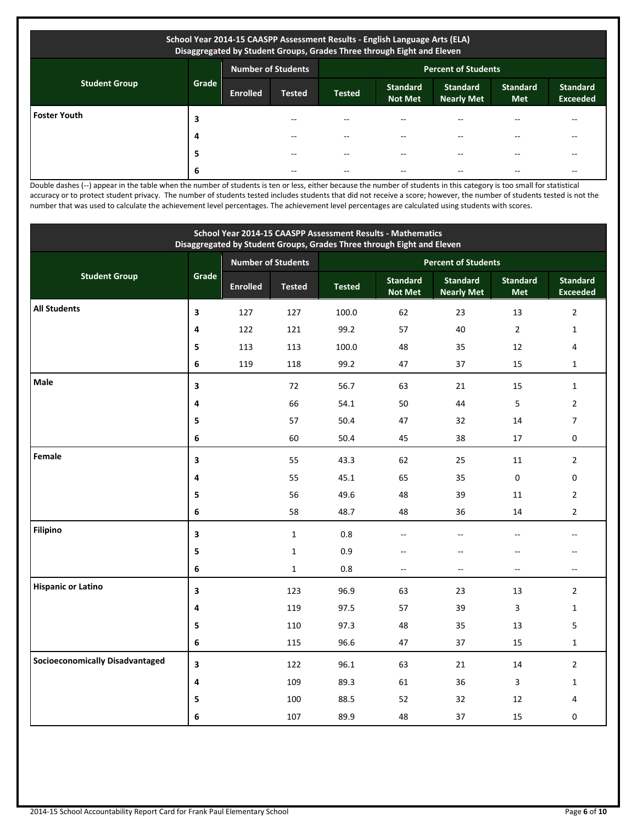| School Year 2014-15 CAASPP Assessment Results - English Language Arts (ELA)<br>Disaggregated by Student Groups, Grades Three through Eight and Eleven |       |                           |               |                            |                                   |                                      |                               |                                    |  |
|-------------------------------------------------------------------------------------------------------------------------------------------------------|-------|---------------------------|---------------|----------------------------|-----------------------------------|--------------------------------------|-------------------------------|------------------------------------|--|
| <b>Student Group</b>                                                                                                                                  |       | <b>Number of Students</b> |               | <b>Percent of Students</b> |                                   |                                      |                               |                                    |  |
|                                                                                                                                                       | Grade | <b>Enrolled</b>           | <b>Tested</b> | <b>Tested</b>              | <b>Standard</b><br><b>Not Met</b> | <b>Standard</b><br><b>Nearly Met</b> | <b>Standard</b><br><b>Met</b> | <b>Standard</b><br><b>Exceeded</b> |  |
| <b>Foster Youth</b>                                                                                                                                   | 3     |                           |               |                            | --                                |                                      |                               |                                    |  |
|                                                                                                                                                       | 4     |                           |               |                            | --                                |                                      |                               |                                    |  |
|                                                                                                                                                       | 5     |                           | --            |                            | --                                |                                      |                               | --                                 |  |
|                                                                                                                                                       | 6     |                           | --            |                            | --                                |                                      |                               | --                                 |  |

Double dashes (--) appear in the table when the number of students is ten or less, either because the number of students in this category is too small for statistical accuracy or to protect student privacy. The number of students tested includes students that did not receive a score; however, the number of students tested is not the number that was used to calculate the achievement level percentages. The achievement level percentages are calculated using students with scores.

| School Year 2014-15 CAASPP Assessment Results - Mathematics<br>Disaggregated by Student Groups, Grades Three through Eight and Eleven |       |                 |                                                         |               |                                   |                                      |                          |                                    |
|---------------------------------------------------------------------------------------------------------------------------------------|-------|-----------------|---------------------------------------------------------|---------------|-----------------------------------|--------------------------------------|--------------------------|------------------------------------|
|                                                                                                                                       |       |                 | <b>Number of Students</b><br><b>Percent of Students</b> |               |                                   |                                      |                          |                                    |
| <b>Student Group</b>                                                                                                                  | Grade | <b>Enrolled</b> | <b>Tested</b>                                           | <b>Tested</b> | <b>Standard</b><br><b>Not Met</b> | <b>Standard</b><br><b>Nearly Met</b> | <b>Standard</b><br>Met   | <b>Standard</b><br><b>Exceeded</b> |
| <b>All Students</b>                                                                                                                   | 3     | 127             | 127                                                     | 100.0         | 62                                | 23                                   | 13                       | $\overline{2}$                     |
|                                                                                                                                       | 4     | 122             | 121                                                     | 99.2          | 57                                | 40                                   | $\overline{2}$           | $\mathbf{1}$                       |
|                                                                                                                                       | 5     | 113             | 113                                                     | 100.0         | 48                                | 35                                   | 12                       | 4                                  |
|                                                                                                                                       | 6     | 119             | 118                                                     | 99.2          | 47                                | 37                                   | 15                       | $\mathbf{1}$                       |
| <b>Male</b>                                                                                                                           | 3     |                 | 72                                                      | 56.7          | 63                                | 21                                   | 15                       | $\mathbf{1}$                       |
|                                                                                                                                       | 4     |                 | 66                                                      | 54.1          | 50                                | 44                                   | 5                        | $\overline{2}$                     |
|                                                                                                                                       | 5     |                 | 57                                                      | 50.4          | 47                                | 32                                   | 14                       | $\overline{7}$                     |
|                                                                                                                                       | 6     |                 | 60                                                      | 50.4          | 45                                | 38                                   | 17                       | 0                                  |
| Female                                                                                                                                | 3     |                 | 55                                                      | 43.3          | 62                                | 25                                   | 11                       | $\overline{2}$                     |
|                                                                                                                                       | 4     |                 | 55                                                      | 45.1          | 65                                | 35                                   | $\mathbf 0$              | 0                                  |
|                                                                                                                                       | 5     |                 | 56                                                      | 49.6          | 48                                | 39                                   | 11                       | $\overline{2}$                     |
|                                                                                                                                       | 6     |                 | 58                                                      | 48.7          | 48                                | 36                                   | 14                       | $\overline{2}$                     |
| <b>Filipino</b>                                                                                                                       | 3     |                 | $\mathbf{1}$                                            | $0.8\,$       | $-$                               | $\sim$                               | $\sim$                   | $\overline{a}$                     |
|                                                                                                                                       | 5     |                 | $\mathbf{1}$                                            | 0.9           | $-$                               | $\overline{a}$                       | $\overline{a}$           |                                    |
|                                                                                                                                       | 6     |                 | $\mathbf{1}$                                            | 0.8           | $\overline{\phantom{a}}$          | $\overline{\phantom{a}}$             | $\overline{\phantom{a}}$ | --                                 |
| <b>Hispanic or Latino</b>                                                                                                             | 3     |                 | 123                                                     | 96.9          | 63                                | 23                                   | 13                       | $\overline{2}$                     |
|                                                                                                                                       | 4     |                 | 119                                                     | 97.5          | 57                                | 39                                   | 3                        | $\mathbf 1$                        |
|                                                                                                                                       | 5     |                 | 110                                                     | 97.3          | 48                                | 35                                   | 13                       | 5                                  |
|                                                                                                                                       | 6     |                 | 115                                                     | 96.6          | 47                                | 37                                   | 15                       | $\mathbf 1$                        |
| <b>Socioeconomically Disadvantaged</b>                                                                                                | 3     |                 | 122                                                     | 96.1          | 63                                | 21                                   | 14                       | $\overline{2}$                     |
|                                                                                                                                       | 4     |                 | 109                                                     | 89.3          | 61                                | 36                                   | $\overline{3}$           | $\mathbf{1}$                       |
|                                                                                                                                       | 5     |                 | 100                                                     | 88.5          | 52                                | 32                                   | 12                       | 4                                  |
|                                                                                                                                       | 6     |                 | 107                                                     | 89.9          | 48                                | 37                                   | 15                       | 0                                  |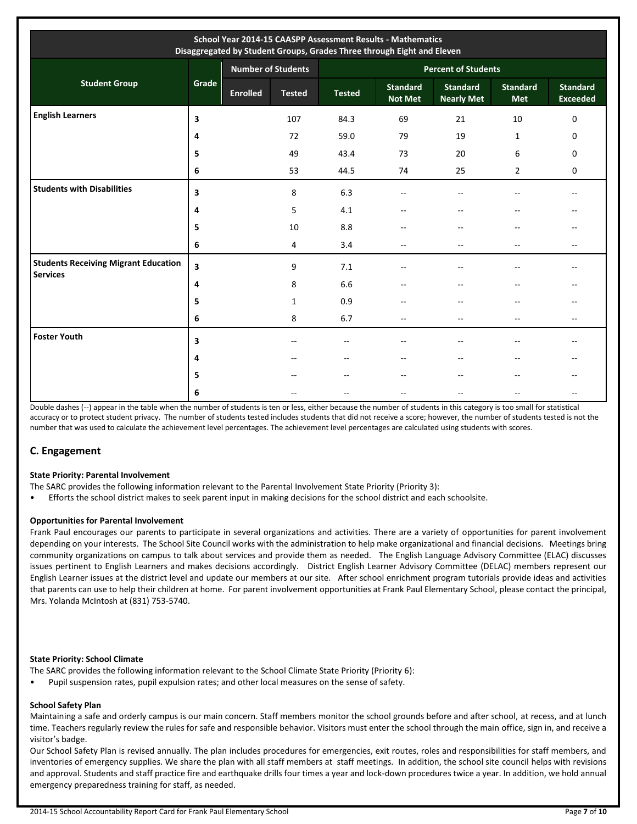| School Year 2014-15 CAASPP Assessment Results - Mathematics<br>Disaggregated by Student Groups, Grades Three through Eight and Eleven |       |                           |               |                            |                                   |                                      |                               |                                    |  |
|---------------------------------------------------------------------------------------------------------------------------------------|-------|---------------------------|---------------|----------------------------|-----------------------------------|--------------------------------------|-------------------------------|------------------------------------|--|
|                                                                                                                                       |       | <b>Number of Students</b> |               | <b>Percent of Students</b> |                                   |                                      |                               |                                    |  |
| <b>Student Group</b>                                                                                                                  | Grade | <b>Enrolled</b>           | <b>Tested</b> | <b>Tested</b>              | <b>Standard</b><br><b>Not Met</b> | <b>Standard</b><br><b>Nearly Met</b> | <b>Standard</b><br><b>Met</b> | <b>Standard</b><br><b>Exceeded</b> |  |
| <b>English Learners</b>                                                                                                               | 3     |                           | 107           | 84.3                       | 69                                | 21                                   | 10                            | $\mathbf 0$                        |  |
|                                                                                                                                       | 4     |                           | 72            | 59.0                       | 79                                | 19                                   | $\mathbf{1}$                  | 0                                  |  |
|                                                                                                                                       | 5     |                           | 49            | 43.4                       | 73                                | 20                                   | 6                             | 0                                  |  |
|                                                                                                                                       | 6     |                           | 53            | 44.5                       | 74                                | 25                                   | $\overline{2}$                | 0                                  |  |
| <b>Students with Disabilities</b>                                                                                                     | 3     |                           | 8             | 6.3                        |                                   |                                      |                               |                                    |  |
|                                                                                                                                       | 4     |                           | 5             | 4.1                        | $\sim$                            |                                      |                               |                                    |  |
|                                                                                                                                       | 5     |                           | 10            | 8.8                        |                                   | $\overline{\phantom{a}}$             | --                            |                                    |  |
|                                                                                                                                       | 6     |                           | 4             | 3.4                        | $-\,$                             | $ -$                                 | $- -$                         | $- -$                              |  |
| <b>Students Receiving Migrant Education</b><br><b>Services</b>                                                                        | 3     |                           | 9             | 7.1                        |                                   | $\overline{\phantom{a}}$             | --                            |                                    |  |
|                                                                                                                                       | 4     |                           | 8             | 6.6                        |                                   | $\overline{\phantom{a}}$             | --                            |                                    |  |
|                                                                                                                                       | 5     |                           | 1             | 0.9                        | --                                | $-$                                  | --                            | --                                 |  |
|                                                                                                                                       | 6     |                           | 8             | 6.7                        | $\overline{\phantom{a}}$          | $\overline{\phantom{a}}$             | $-$                           | $-$                                |  |
| <b>Foster Youth</b>                                                                                                                   | 3     |                           | $-$           | --                         | --                                | $\sim$                               | $-$                           |                                    |  |
|                                                                                                                                       | 4     |                           |               | --                         |                                   | $\overline{\phantom{a}}$             | $-$                           |                                    |  |
|                                                                                                                                       | 5     |                           |               | --                         |                                   |                                      | --                            |                                    |  |
|                                                                                                                                       | 6     |                           |               |                            | --                                |                                      |                               | --                                 |  |

Double dashes (--) appear in the table when the number of students is ten or less, either because the number of students in this category is too small for statistical accuracy or to protect student privacy. The number of students tested includes students that did not receive a score; however, the number of students tested is not the number that was used to calculate the achievement level percentages. The achievement level percentages are calculated using students with scores.

## **C. Engagement**

#### **State Priority: Parental Involvement**

The SARC provides the following information relevant to the Parental Involvement State Priority (Priority 3):

• Efforts the school district makes to seek parent input in making decisions for the school district and each schoolsite.

#### **Opportunities for Parental Involvement**

Frank Paul encourages our parents to participate in several organizations and activities. There are a variety of opportunities for parent involvement depending on your interests. The School Site Council works with the administration to help make organizational and financial decisions. Meetings bring community organizations on campus to talk about services and provide them as needed. The English Language Advisory Committee (ELAC) discusses issues pertinent to English Learners and makes decisions accordingly. District English Learner Advisory Committee (DELAC) members represent our English Learner issues at the district level and update our members at our site. After school enrichment program tutorials provide ideas and activities that parents can use to help their children at home. For parent involvement opportunities at Frank Paul Elementary School, please contact the principal, Mrs. Yolanda McIntosh at (831) 753-5740.

#### **State Priority: School Climate**

- The SARC provides the following information relevant to the School Climate State Priority (Priority 6):
- Pupil suspension rates, pupil expulsion rates; and other local measures on the sense of safety.

#### **School Safety Plan**

Maintaining a safe and orderly campus is our main concern. Staff members monitor the school grounds before and after school, at recess, and at lunch time. Teachers regularly review the rules for safe and responsible behavior. Visitors must enter the school through the main office, sign in, and receive a visitor's badge.

Our School Safety Plan is revised annually. The plan includes procedures for emergencies, exit routes, roles and responsibilities for staff members, and inventories of emergency supplies. We share the plan with all staff members at staff meetings. In addition, the school site council helps with revisions and approval. Students and staff practice fire and earthquake drills four times a year and lock-down procedures twice a year. In addition, we hold annual emergency preparedness training for staff, as needed.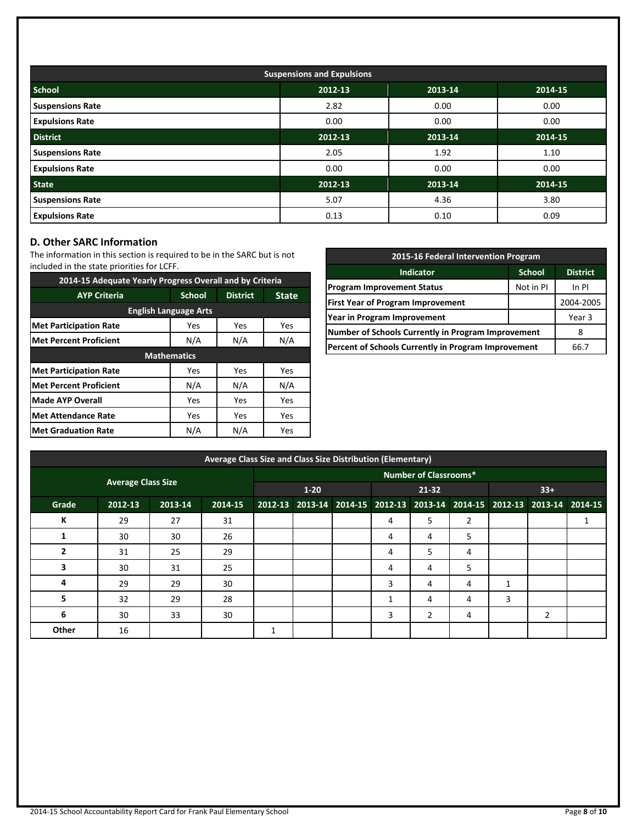| <b>Suspensions and Expulsions</b> |         |         |         |  |  |  |  |  |
|-----------------------------------|---------|---------|---------|--|--|--|--|--|
| <b>School</b>                     | 2012-13 | 2013-14 | 2014-15 |  |  |  |  |  |
| <b>Suspensions Rate</b>           | 2.82    | 0.00    | 0.00    |  |  |  |  |  |
| <b>Expulsions Rate</b>            | 0.00    | 0.00    | 0.00    |  |  |  |  |  |
| <b>District</b>                   | 2012-13 | 2013-14 | 2014-15 |  |  |  |  |  |
| <b>Suspensions Rate</b>           | 2.05    | 1.92    | 1.10    |  |  |  |  |  |
| <b>Expulsions Rate</b>            | 0.00    | 0.00    | 0.00    |  |  |  |  |  |
| <b>State</b>                      | 2012-13 | 2013-14 | 2014-15 |  |  |  |  |  |
| <b>Suspensions Rate</b>           | 5.07    | 4.36    | 3.80    |  |  |  |  |  |
| <b>Expulsions Rate</b>            | 0.13    | 0.10    | 0.09    |  |  |  |  |  |

## **D. Other SARC Information**

The information in this section is required to be in the SARC but is not included in the state priorities for LCFF.

| 2014-15 Adequate Yearly Progress Overall and by Criteria |                    |                 |              |  |  |  |  |  |  |
|----------------------------------------------------------|--------------------|-----------------|--------------|--|--|--|--|--|--|
| <b>AYP Criteria</b>                                      | <b>School</b>      | <b>District</b> | <b>State</b> |  |  |  |  |  |  |
| <b>English Language Arts</b>                             |                    |                 |              |  |  |  |  |  |  |
| <b>Met Participation Rate</b>                            | Yes                | Yes             | Yes          |  |  |  |  |  |  |
| <b>Met Percent Proficient</b>                            | N/A                | N/A             |              |  |  |  |  |  |  |
|                                                          | <b>Mathematics</b> |                 |              |  |  |  |  |  |  |
| <b>Met Participation Rate</b>                            | Yes                | Yes             | <b>Yes</b>   |  |  |  |  |  |  |
| <b>Met Percent Proficient</b>                            | N/A                | N/A             | N/A          |  |  |  |  |  |  |
| <b>Made AYP Overall</b>                                  | Yes                | Yes             | Yes          |  |  |  |  |  |  |
| <b>Met Attendance Rate</b>                               | Yes                | Yes             | Yes          |  |  |  |  |  |  |
| <b>Met Graduation Rate</b>                               | N/A                | N/A             | Yes          |  |  |  |  |  |  |

| 2015-16 Federal Intervention Program                |                 |           |  |  |  |  |
|-----------------------------------------------------|-----------------|-----------|--|--|--|--|
| <b>Indicator</b>                                    | <b>District</b> |           |  |  |  |  |
| <b>Program Improvement Status</b>                   | In PI           |           |  |  |  |  |
| <b>First Year of Program Improvement</b>            |                 | 2004-2005 |  |  |  |  |
| Year in Program Improvement                         |                 | Year 3    |  |  |  |  |
| Number of Schools Currently in Program Improvement  |                 |           |  |  |  |  |
| Percent of Schools Currently in Program Improvement | 66.7            |           |  |  |  |  |

|                           | Average Class Size and Class Size Distribution (Elementary) |         |         |   |                              |                                                                         |   |       |                |       |   |    |
|---------------------------|-------------------------------------------------------------|---------|---------|---|------------------------------|-------------------------------------------------------------------------|---|-------|----------------|-------|---|----|
|                           |                                                             |         |         |   | <b>Number of Classrooms*</b> |                                                                         |   |       |                |       |   |    |
| <b>Average Class Size</b> |                                                             |         |         |   | $1 - 20$                     |                                                                         |   | 21-32 |                | $33+$ |   |    |
| Grade                     | 2012-13                                                     | 2013-14 | 2014-15 |   |                              | 2012-13 2013-14 2014-15 2012-13 2013-14 2014-15 2012-13 2013-14 2014-15 |   |       |                |       |   |    |
| К                         | 29                                                          | 27      | 31      |   |                              |                                                                         | 4 | 5     | $\overline{2}$ |       |   | Ŧ. |
| 1                         | 30                                                          | 30      | 26      |   |                              |                                                                         | 4 | 4     | 5              |       |   |    |
| $\overline{2}$            | 31                                                          | 25      | 29      |   |                              |                                                                         | 4 | 5     | 4              |       |   |    |
| 3                         | 30                                                          | 31      | 25      |   |                              |                                                                         | 4 | 4     | 5              |       |   |    |
| 4                         | 29                                                          | 29      | 30      |   |                              |                                                                         | 3 | 4     | 4              | 1     |   |    |
| 5.                        | 32                                                          | 29      | 28      |   |                              |                                                                         |   | 4     | 4              | 3     |   |    |
| 6                         | 30                                                          | 33      | 30      |   |                              |                                                                         | 3 | 2     | 4              |       | 2 |    |
| Other                     | 16                                                          |         |         | 1 |                              |                                                                         |   |       |                |       |   |    |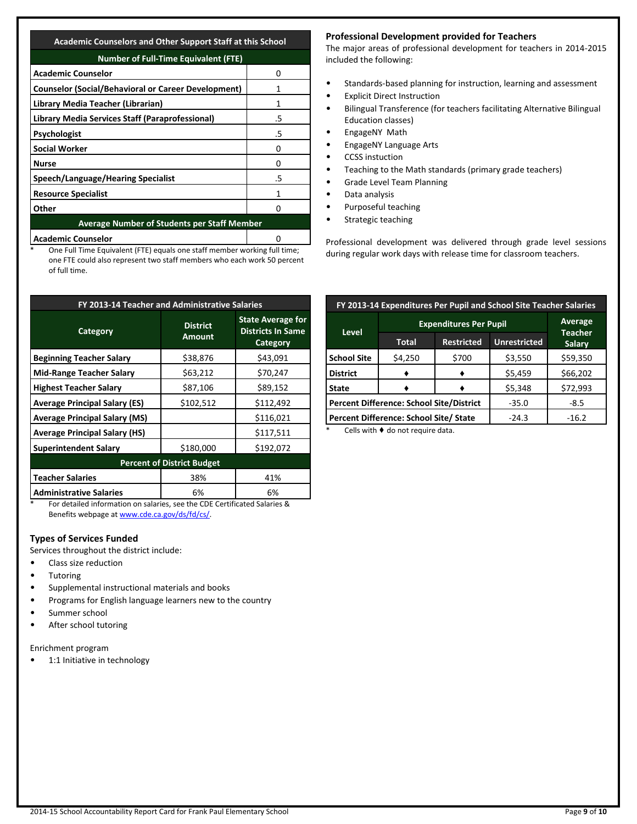**Academic Counselors and Other Support Staff at this School**

| <b>Number of Full-Time Equivalent (FTE)</b>                |    |  |  |  |  |  |
|------------------------------------------------------------|----|--|--|--|--|--|
| <b>Academic Counselor</b>                                  |    |  |  |  |  |  |
| <b>Counselor (Social/Behavioral or Career Development)</b> |    |  |  |  |  |  |
| Library Media Teacher (Librarian)                          | 1  |  |  |  |  |  |
| Library Media Services Staff (Paraprofessional)            | .5 |  |  |  |  |  |
| <b>Psychologist</b>                                        | .5 |  |  |  |  |  |
| <b>Social Worker</b>                                       |    |  |  |  |  |  |
| <b>Nurse</b>                                               | O  |  |  |  |  |  |
| Speech/Language/Hearing Specialist                         | .5 |  |  |  |  |  |
| <b>Resource Specialist</b>                                 |    |  |  |  |  |  |
| Other                                                      |    |  |  |  |  |  |
| <b>Average Number of Students per Staff Member</b>         |    |  |  |  |  |  |
| <b>Academic Counselor</b>                                  |    |  |  |  |  |  |

One Full Time Equivalent (FTE) equals one staff member working full time; one FTE could also represent two staff members who each work 50 percent of full time.

| FY 2013-14 Teacher and Administrative Salaries |                                   |                                                                  |  |  |  |  |  |  |  |
|------------------------------------------------|-----------------------------------|------------------------------------------------------------------|--|--|--|--|--|--|--|
| Category                                       | <b>District</b><br><b>Amount</b>  | <b>State Average for</b><br><b>Districts In Same</b><br>Category |  |  |  |  |  |  |  |
| <b>Beginning Teacher Salary</b>                | \$38,876                          | \$43,091                                                         |  |  |  |  |  |  |  |
| <b>Mid-Range Teacher Salary</b>                | \$63,212                          | \$70,247                                                         |  |  |  |  |  |  |  |
| <b>Highest Teacher Salary</b>                  | \$87,106                          | \$89,152                                                         |  |  |  |  |  |  |  |
| <b>Average Principal Salary (ES)</b>           | \$102,512                         | \$112,492                                                        |  |  |  |  |  |  |  |
| <b>Average Principal Salary (MS)</b>           |                                   | \$116,021                                                        |  |  |  |  |  |  |  |
| <b>Average Principal Salary (HS)</b>           |                                   | \$117,511                                                        |  |  |  |  |  |  |  |
| <b>Superintendent Salary</b>                   | \$180,000                         | \$192,072                                                        |  |  |  |  |  |  |  |
|                                                | <b>Percent of District Budget</b> |                                                                  |  |  |  |  |  |  |  |
| <b>Teacher Salaries</b>                        | 38%                               | 41%                                                              |  |  |  |  |  |  |  |
| <b>Administrative Salaries</b>                 | 6%                                | 6%                                                               |  |  |  |  |  |  |  |

\* For detailed information on salaries, see the CDE Certificated Salaries & Benefits webpage a[t www.cde.ca.gov/ds/fd/cs/.](http://www.cde.ca.gov/ds/fd/cs/)

## **Types of Services Funded**

Services throughout the district include:

- Class size reduction
- Tutoring
- Supplemental instructional materials and books
- Programs for English language learners new to the country
- Summer school
- After school tutoring

Enrichment program

• 1:1 Initiative in technology

## **Professional Development provided for Teachers**

The major areas of professional development for teachers in 2014-2015 included the following:

- Standards-based planning for instruction, learning and assessment
- **Explicit Direct Instruction**
- Bilingual Transference (for teachers facilitating Alternative Bilingual Education classes)
- EngageNY Math
- EngageNY Language Arts
- CCSS instuction
- Teaching to the Math standards (primary grade teachers)
- Grade Level Team Planning
- Data analysis
- Purposeful teaching
- Strategic teaching

Professional development was delivered through grade level sessions during regular work days with release time for classroom teachers.

| FY 2013-14 Expenditures Per Pupil and School Site Teacher Salaries |                                          |                               |                     |                                 |  |  |  |  |
|--------------------------------------------------------------------|------------------------------------------|-------------------------------|---------------------|---------------------------------|--|--|--|--|
|                                                                    |                                          | <b>Expenditures Per Pupil</b> |                     |                                 |  |  |  |  |
| <b>Level</b>                                                       | Total                                    | <b>Restricted</b>             | <b>Unrestricted</b> | <b>Teacher</b><br><b>Salary</b> |  |  |  |  |
| <b>School Site</b>                                                 | \$4,250                                  | \$700                         | \$3,550             | \$59,350                        |  |  |  |  |
| <b>District</b>                                                    |                                          |                               | \$5,459             | \$66,202                        |  |  |  |  |
| <b>State</b>                                                       |                                          |                               | \$5,348             | \$72,993                        |  |  |  |  |
|                                                                    | Percent Difference: School Site/District | $-35.0$                       | $-8.5$              |                                 |  |  |  |  |
|                                                                    | Percent Difference: School Site/ State   | $-24.3$                       | $-16.2$             |                                 |  |  |  |  |

Cells with  $\blacklozenge$  do not require data.